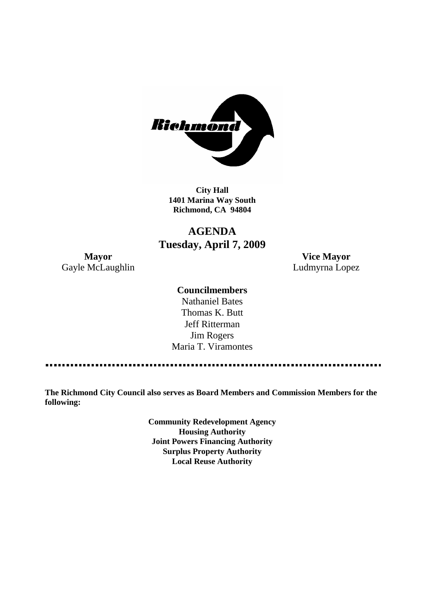

**City Hall 1401 Marina Way South Richmond, CA 94804**

# **AGENDA Tuesday, April 7, 2009**

Gayle McLaughlin **Ludmyrna Lopez** 

**Mayor Vice Mayor**

### **Councilmembers**

Nathaniel Bates Thomas K. Butt Jeff Ritterman Jim Rogers Maria T. Viramontes

**The Richmond City Council also serves as Board Members and Commission Members for the following:**

> **Community Redevelopment Agency Housing Authority Joint Powers Financing Authority Surplus Property Authority Local Reuse Authority**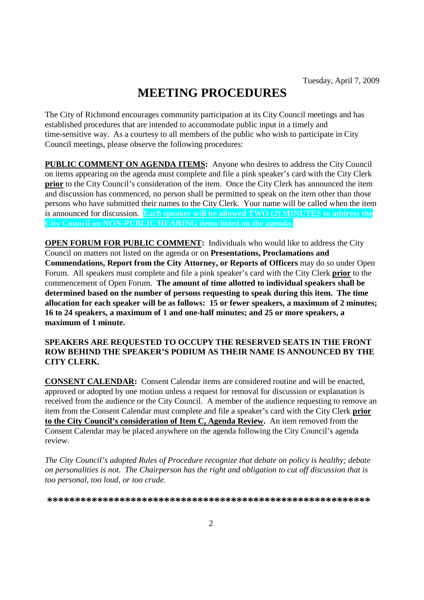# **MEETING PROCEDURES**

The City of Richmond encourages community participation at its City Council meetings and has established procedures that are intended to accommodate public input in a timely and time-sensitive way. As a courtesy to all members of the public who wish to participate in City Council meetings, please observe the following procedures:

**PUBLIC COMMENT ON AGENDA ITEMS:** Anyone who desires to address the City Council on items appearing on the agenda must complete and file a pink speaker's card with the City Clerk **prior** to the City Council's consideration of the item. Once the City Clerk has announced the item and discussion has commenced, no person shall be permitted to speak on the item other than those persons who have submitted their names to the City Clerk. Your name will be called when the item is announced for discussion. **Each speaker will be allowed TWO (2) MINUTES to address the City Council on NON-PUBLIC HEARING items listed on the agenda.**

**OPEN FORUM FOR PUBLIC COMMENT:** Individuals who would like to address the City Council on matters not listed on the agenda or on **Presentations, Proclamations and Commendations, Report from the City Attorney, or Reports of Officers** may do so under Open Forum. All speakers must complete and file a pink speaker's card with the City Clerk **prior** to the commencement of Open Forum. **The amount of time allotted to individual speakers shall be determined based on the number of persons requesting to speak during this item. The time allocation for each speaker will be as follows: 15 or fewer speakers, a maximum of 2 minutes; 16 to 24 speakers, a maximum of 1 and one-half minutes; and 25 or more speakers, a maximum of 1 minute.**

### **SPEAKERS ARE REQUESTED TO OCCUPY THE RESERVED SEATS IN THE FRONT ROW BEHIND THE SPEAKER'S PODIUM AS THEIR NAME IS ANNOUNCED BY THE CITY CLERK.**

**CONSENT CALENDAR:** Consent Calendar items are considered routine and will be enacted, approved or adopted by one motion unless a request for removal for discussion or explanation is received from the audience or the City Council. A member of the audience requesting to remove an item from the Consent Calendar must complete and file a speaker's card with the City Clerk **prior to the City Council's consideration of Item C, Agenda Review.** An item removed from the Consent Calendar may be placed anywhere on the agenda following the City Council's agenda review.

*The City Council's adopted Rules of Procedure recognize that debate on policy is healthy; debate on personalities is not. The Chairperson has the right and obligation to cut off discussion that is too personal, too loud, or too crude.*

**\*\*\*\*\*\*\*\*\*\*\*\*\*\*\*\*\*\*\*\*\*\*\*\*\*\*\*\*\*\*\*\*\*\*\*\*\*\*\*\*\*\*\*\*\*\*\*\*\*\*\*\*\*\*\*\*\*\***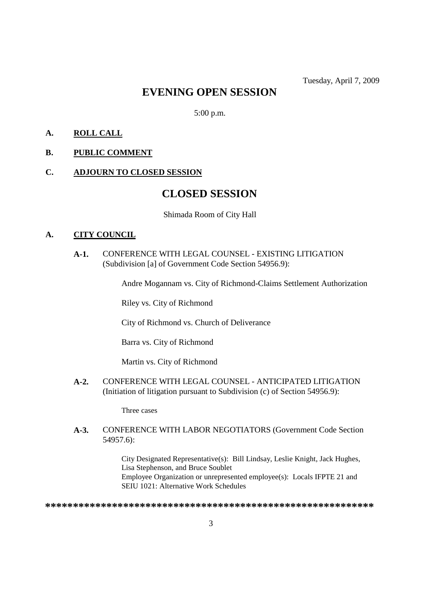# **EVENING OPEN SESSION**

5:00 p.m.

# **A. ROLL CALL**

### **B. PUBLIC COMMENT**

### **C. ADJOURN TO CLOSED SESSION**

# **CLOSED SESSION**

Shimada Room of City Hall

### **A. CITY COUNCIL**

**A-1.** CONFERENCE WITH LEGAL COUNSEL - EXISTING LITIGATION (Subdivision [a] of Government Code Section 54956.9):

Andre Mogannam vs. City of Richmond-Claims Settlement Authorization

Riley vs. City of Richmond

City of Richmond vs. Church of Deliverance

Barra vs. City of Richmond

Martin vs. City of Richmond

**A-2.** CONFERENCE WITH LEGAL COUNSEL - ANTICIPATED LITIGATION (Initiation of litigation pursuant to Subdivision (c) of Section 54956.9):

Three cases

#### **A-3.** CONFERENCE WITH LABOR NEGOTIATORS (Government Code Section 54957.6):

City Designated Representative(s): Bill Lindsay, Leslie Knight, Jack Hughes, Lisa Stephenson, and Bruce Soublet Employee Organization or unrepresented employee(s): Locals IFPTE 21 and SEIU 1021: Alternative Work Schedules

**\*\*\*\*\*\*\*\*\*\*\*\*\*\*\*\*\*\*\*\*\*\*\*\*\*\*\*\*\*\*\*\*\*\*\*\*\*\*\*\*\*\*\*\*\*\*\*\*\*\*\*\*\*\*\*\*\*\*\***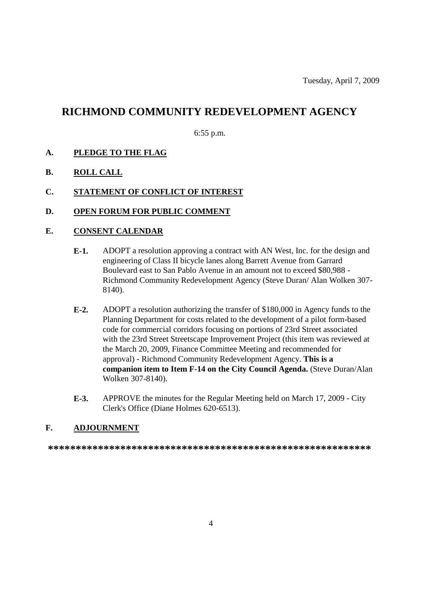# **RICHMOND COMMUNITY REDEVELOPMENT AGENCY**

6:55 p.m.

- **A. PLEDGE TO THE FLAG**
- **B. ROLL CALL**
- **C. STATEMENT OF CONFLICT OF INTEREST**
- **D. OPEN FORUM FOR PUBLIC COMMENT**

### **E. CONSENT CALENDAR**

- **E-1.** ADOPT a resolution approving a contract with AN West, Inc. for the design and engineering of Class II bicycle lanes along Barrett Avenue from Garrard Boulevard east to San Pablo Avenue in an amount not to exceed \$80,988 - Richmond Community Redevelopment Agency (Steve Duran/ Alan Wolken 307- 8140).
- **E-2.** ADOPT a resolution authorizing the transfer of \$180,000 in Agency funds to the Planning Department for costs related to the development of a pilot form-based code for commercial corridors focusing on portions of 23rd Street associated with the 23rd Street Streetscape Improvement Project (this item was reviewed at the March 20, 2009, Finance Committee Meeting and recommended for approval) - Richmond Community Redevelopment Agency. **This is a companion item to Item F-14 on the City Council Agenda.** (Steve Duran/Alan Wolken 307-8140).
- **E-3.** APPROVE the minutes for the Regular Meeting held on March 17, 2009 City Clerk's Office (Diane Holmes 620-6513).

# **F. ADJOURNMENT**

**\*\*\*\*\*\*\*\*\*\*\*\*\*\*\*\*\*\*\*\*\*\*\*\*\*\*\*\*\*\*\*\*\*\*\*\*\*\*\*\*\*\*\*\*\*\*\*\*\*\*\*\*\*\*\*\*\*\***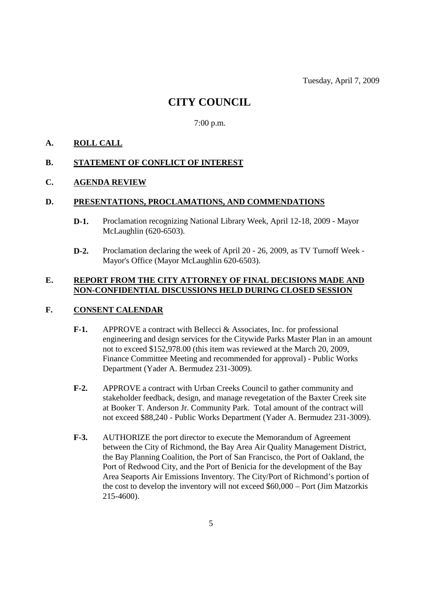# **CITY COUNCIL**

7:00 p.m.

# **A. ROLL CALL**

### **B. STATEMENT OF CONFLICT OF INTEREST**

### **C. AGENDA REVIEW**

#### **D. PRESENTATIONS, PROCLAMATIONS, AND COMMENDATIONS**

- **D-1.** Proclamation recognizing National Library Week, April 12-18, 2009 Mayor McLaughlin (620-6503).
- **D-2.** Proclamation declaring the week of April 20 26, 2009, as TV Turnoff Week Mayor's Office (Mayor McLaughlin 620-6503).

### **E. REPORT FROM THE CITY ATTORNEY OF FINAL DECISIONS MADE AND NON-CONFIDENTIAL DISCUSSIONS HELD DURING CLOSED SESSION**

### **F. CONSENT CALENDAR**

- **F-1.** APPROVE a contract with Bellecci & Associates, Inc. for professional engineering and design services for the Citywide Parks Master Plan in an amount not to exceed \$152,978.00 (this item was reviewed at the March 20, 2009, Finance Committee Meeting and recommended for approval) - Public Works Department (Yader A. Bermudez 231-3009).
- **F-2.** APPROVE a contract with Urban Creeks Council to gather community and stakeholder feedback, design, and manage revegetation of the Baxter Creek site at Booker T. Anderson Jr. Community Park. Total amount of the contract will not exceed \$88,240 - Public Works Department (Yader A. Bermudez 231-3009).
- **F-3.** AUTHORIZE the port director to execute the Memorandum of Agreement between the City of Richmond, the Bay Area Air Quality Management District, the Bay Planning Coalition, the Port of San Francisco, the Port of Oakland, the Port of Redwood City, and the Port of Benicia for the development of the Bay Area Seaports Air Emissions Inventory. The City/Port of Richmond's portion of the cost to develop the inventory will not exceed \$60,000 – Port (Jim Matzorkis 215-4600).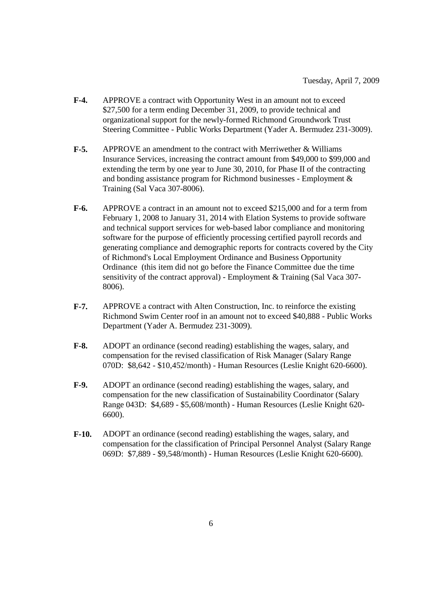- **F-4.** APPROVE a contract with Opportunity West in an amount not to exceed \$27,500 for a term ending December 31, 2009, to provide technical and organizational support for the newly-formed Richmond Groundwork Trust Steering Committee - Public Works Department (Yader A. Bermudez 231-3009).
- **F-5.** APPROVE an amendment to the contract with Merriwether & Williams Insurance Services, increasing the contract amount from \$49,000 to \$99,000 and extending the term by one year to June 30, 2010, for Phase II of the contracting and bonding assistance program for Richmond businesses - Employment & Training (Sal Vaca 307-8006).
- **F-6.** APPROVE a contract in an amount not to exceed \$215,000 and for a term from February 1, 2008 to January 31, 2014 with Elation Systems to provide software and technical support services for web-based labor compliance and monitoring software for the purpose of efficiently processing certified payroll records and generating compliance and demographic reports for contracts covered by the City of Richmond's Local Employment Ordinance and Business Opportunity Ordinance (this item did not go before the Finance Committee due the time sensitivity of the contract approval) - Employment & Training (Sal Vaca 307- 8006).
- **F-7.** APPROVE a contract with Alten Construction, Inc. to reinforce the existing Richmond Swim Center roof in an amount not to exceed \$40,888 - Public Works Department (Yader A. Bermudez 231-3009).
- **F-8.** ADOPT an ordinance (second reading) establishing the wages, salary, and compensation for the revised classification of Risk Manager (Salary Range 070D: \$8,642 - \$10,452/month) - Human Resources (Leslie Knight 620-6600).
- **F-9.** ADOPT an ordinance (second reading) establishing the wages, salary, and compensation for the new classification of Sustainability Coordinator (Salary Range 043D: \$4,689 - \$5,608/month) - Human Resources (Leslie Knight 620- 6600).
- **F-10.** ADOPT an ordinance (second reading) establishing the wages, salary, and compensation for the classification of Principal Personnel Analyst (Salary Range 069D: \$7,889 - \$9,548/month) - Human Resources (Leslie Knight 620-6600).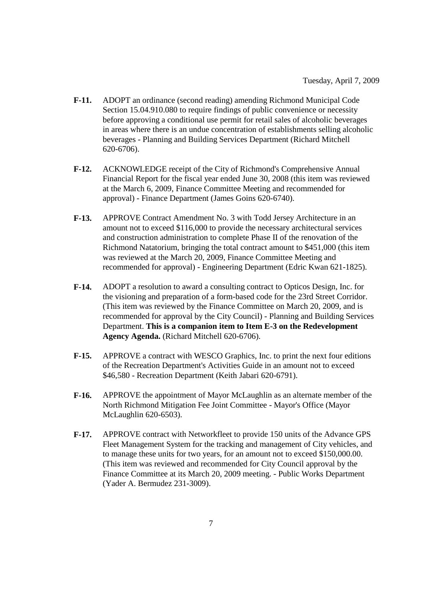- **F-11.** ADOPT an ordinance (second reading) amending Richmond Municipal Code Section 15.04.910.080 to require findings of public convenience or necessity before approving a conditional use permit for retail sales of alcoholic beverages in areas where there is an undue concentration of establishments selling alcoholic beverages - Planning and Building Services Department (Richard Mitchell 620-6706).
- **F-12.** ACKNOWLEDGE receipt of the City of Richmond's Comprehensive Annual Financial Report for the fiscal year ended June 30, 2008 (this item was reviewed at the March 6, 2009, Finance Committee Meeting and recommended for approval) - Finance Department (James Goins 620-6740).
- **F-13.** APPROVE Contract Amendment No. 3 with Todd Jersey Architecture in an amount not to exceed \$116,000 to provide the necessary architectural services and construction administration to complete Phase II of the renovation of the Richmond Natatorium, bringing the total contract amount to \$451,000 (this item was reviewed at the March 20, 2009, Finance Committee Meeting and recommended for approval) - Engineering Department (Edric Kwan 621-1825).
- **F-14.** ADOPT a resolution to award a consulting contract to Opticos Design, Inc. for the visioning and preparation of a form-based code for the 23rd Street Corridor. (This item was reviewed by the Finance Committee on March 20, 2009, and is recommended for approval by the City Council) - Planning and Building Services Department. **This is a companion item to Item E-3 on the Redevelopment Agency Agenda.** (Richard Mitchell 620-6706).
- **F-15.** APPROVE a contract with WESCO Graphics, Inc. to print the next four editions of the Recreation Department's Activities Guide in an amount not to exceed \$46,580 - Recreation Department (Keith Jabari 620-6791).
- **F-16.** APPROVE the appointment of Mayor McLaughlin as an alternate member of the North Richmond Mitigation Fee Joint Committee - Mayor's Office (Mayor McLaughlin 620-6503).
- **F-17.** APPROVE contract with Networkfleet to provide 150 units of the Advance GPS Fleet Management System for the tracking and management of City vehicles, and to manage these units for two years, for an amount not to exceed \$150,000.00. (This item was reviewed and recommended for City Council approval by the Finance Committee at its March 20, 2009 meeting. - Public Works Department (Yader A. Bermudez 231-3009).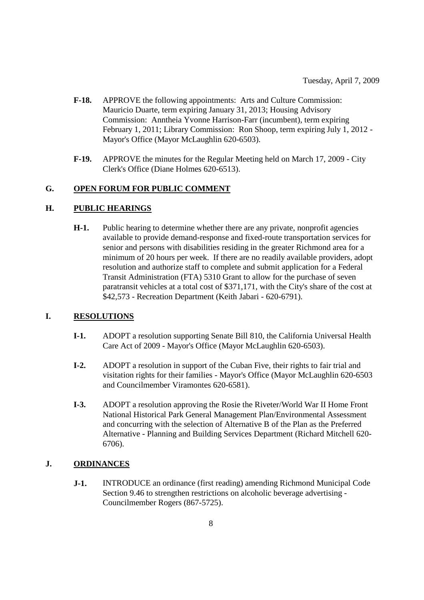- **F-18.** APPROVE the following appointments: Arts and Culture Commission: Mauricio Duarte, term expiring January 31, 2013; Housing Advisory Commission: Anntheia Yvonne Harrison-Farr (incumbent), term expiring February 1, 2011; Library Commission: Ron Shoop, term expiring July 1, 2012 - Mayor's Office (Mayor McLaughlin 620-6503).
- **F-19.** APPROVE the minutes for the Regular Meeting held on March 17, 2009 City Clerk's Office (Diane Holmes 620-6513).

### **G. OPEN FORUM FOR PUBLIC COMMENT**

### **H. PUBLIC HEARINGS**

**H-1.** Public hearing to determine whether there are any private, nonprofit agencies available to provide demand-response and fixed-route transportation services for senior and persons with disabilities residing in the greater Richmond area for a minimum of 20 hours per week. If there are no readily available providers, adopt resolution and authorize staff to complete and submit application for a Federal Transit Administration (FTA) 5310 Grant to allow for the purchase of seven paratransit vehicles at a total cost of \$371,171, with the City's share of the cost at \$42,573 - Recreation Department (Keith Jabari - 620-6791).

### **I. RESOLUTIONS**

- **I-1.** ADOPT a resolution supporting Senate Bill 810, the California Universal Health Care Act of 2009 - Mayor's Office (Mayor McLaughlin 620-6503).
- **I-2.** ADOPT a resolution in support of the Cuban Five, their rights to fair trial and visitation rights for their families - Mayor's Office (Mayor McLaughlin 620-6503 and Councilmember Viramontes 620-6581).
- **I-3.** ADOPT a resolution approving the Rosie the Riveter/World War II Home Front National Historical Park General Management Plan/Environmental Assessment and concurring with the selection of Alternative B of the Plan as the Preferred Alternative - Planning and Building Services Department (Richard Mitchell 620- 6706).

#### **J. ORDINANCES**

**J-1.** INTRODUCE an ordinance (first reading) amending Richmond Municipal Code Section 9.46 to strengthen restrictions on alcoholic beverage advertising - Councilmember Rogers (867-5725).